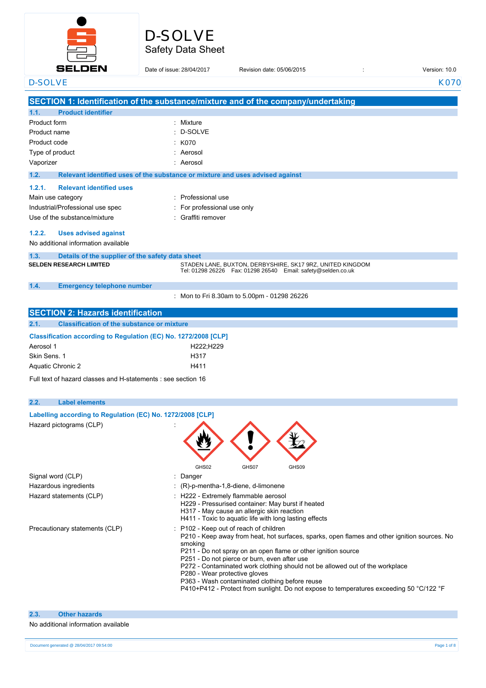

# Safety Data Sheet D-SOLVE

| <b>SELDEN</b>                                                                         | Date of issue: 28/04/2017 |                                                                                                                                                                         | Revision date: 05/06/2015                                                                                                                     | Version: 10.0                                                                                                                                                                           |
|---------------------------------------------------------------------------------------|---------------------------|-------------------------------------------------------------------------------------------------------------------------------------------------------------------------|-----------------------------------------------------------------------------------------------------------------------------------------------|-----------------------------------------------------------------------------------------------------------------------------------------------------------------------------------------|
| <b>D-SOLVE</b>                                                                        |                           |                                                                                                                                                                         |                                                                                                                                               | K070                                                                                                                                                                                    |
| SECTION 1: Identification of the substance/mixture and of the company/undertaking     |                           |                                                                                                                                                                         |                                                                                                                                               |                                                                                                                                                                                         |
| 1.1.<br><b>Product identifier</b>                                                     |                           |                                                                                                                                                                         |                                                                                                                                               |                                                                                                                                                                                         |
| Product form                                                                          | Mixture                   |                                                                                                                                                                         |                                                                                                                                               |                                                                                                                                                                                         |
| Product name                                                                          | D-SOLVE                   |                                                                                                                                                                         |                                                                                                                                               |                                                                                                                                                                                         |
| Product code                                                                          | K070                      |                                                                                                                                                                         |                                                                                                                                               |                                                                                                                                                                                         |
| Type of product                                                                       | Aerosol                   |                                                                                                                                                                         |                                                                                                                                               |                                                                                                                                                                                         |
| Vaporizer                                                                             | Aerosol                   |                                                                                                                                                                         |                                                                                                                                               |                                                                                                                                                                                         |
| 1.2.<br>Relevant identified uses of the substance or mixture and uses advised against |                           |                                                                                                                                                                         |                                                                                                                                               |                                                                                                                                                                                         |
| 1.2.1.<br><b>Relevant identified uses</b>                                             |                           |                                                                                                                                                                         |                                                                                                                                               |                                                                                                                                                                                         |
| Main use category                                                                     | Professional use          |                                                                                                                                                                         |                                                                                                                                               |                                                                                                                                                                                         |
| Industrial/Professional use spec                                                      |                           | For professional use only                                                                                                                                               |                                                                                                                                               |                                                                                                                                                                                         |
| Use of the substance/mixture                                                          | Graffiti remover          |                                                                                                                                                                         |                                                                                                                                               |                                                                                                                                                                                         |
|                                                                                       |                           |                                                                                                                                                                         |                                                                                                                                               |                                                                                                                                                                                         |
| 1.2.2.<br><b>Uses advised against</b><br>No additional information available          |                           |                                                                                                                                                                         |                                                                                                                                               |                                                                                                                                                                                         |
| 1.3.<br>Details of the supplier of the safety data sheet                              |                           |                                                                                                                                                                         |                                                                                                                                               |                                                                                                                                                                                         |
| <b>SELDEN RESEARCH LIMITED</b>                                                        |                           |                                                                                                                                                                         | STADEN LANE, BUXTON, DERBYSHIRE, SK17 9RZ, UNITED KINGDOM<br>Tel: 01298 26226    Fax: 01298 26540    Email: safety@selden.co.uk               |                                                                                                                                                                                         |
| 1.4.<br><b>Emergency telephone number</b>                                             |                           |                                                                                                                                                                         |                                                                                                                                               |                                                                                                                                                                                         |
|                                                                                       |                           | : Mon to Fri 8.30am to 5.00pm - 01298 26226                                                                                                                             |                                                                                                                                               |                                                                                                                                                                                         |
| <b>SECTION 2: Hazards identification</b>                                              |                           |                                                                                                                                                                         |                                                                                                                                               |                                                                                                                                                                                         |
| 2.1.<br><b>Classification of the substance or mixture</b>                             |                           |                                                                                                                                                                         |                                                                                                                                               |                                                                                                                                                                                         |
| Classification according to Regulation (EC) No. 1272/2008 [CLP]                       |                           |                                                                                                                                                                         |                                                                                                                                               |                                                                                                                                                                                         |
| Aerosol 1                                                                             |                           | H222;H229                                                                                                                                                               |                                                                                                                                               |                                                                                                                                                                                         |
| Skin Sens. 1                                                                          | H317                      |                                                                                                                                                                         |                                                                                                                                               |                                                                                                                                                                                         |
| Aquatic Chronic 2                                                                     | H411                      |                                                                                                                                                                         |                                                                                                                                               |                                                                                                                                                                                         |
| Full text of hazard classes and H-statements : see section 16                         |                           |                                                                                                                                                                         |                                                                                                                                               |                                                                                                                                                                                         |
| 2.2.<br><b>Label elements</b>                                                         |                           |                                                                                                                                                                         |                                                                                                                                               |                                                                                                                                                                                         |
| Labelling according to Regulation (EC) No. 1272/2008 [CLP]                            |                           |                                                                                                                                                                         |                                                                                                                                               |                                                                                                                                                                                         |
| Hazard pictograms (CLP)                                                               |                           | ↗                                                                                                                                                                       |                                                                                                                                               |                                                                                                                                                                                         |
|                                                                                       |                           |                                                                                                                                                                         |                                                                                                                                               |                                                                                                                                                                                         |
|                                                                                       | GHS02                     | GHS07                                                                                                                                                                   | GHS09                                                                                                                                         |                                                                                                                                                                                         |
| Signal word (CLP)                                                                     | : Danger                  |                                                                                                                                                                         |                                                                                                                                               |                                                                                                                                                                                         |
| Hazardous ingredients                                                                 |                           | : (R)-p-mentha-1,8-diene, d-limonene                                                                                                                                    |                                                                                                                                               |                                                                                                                                                                                         |
| Hazard statements (CLP)                                                               |                           | : H222 - Extremely flammable aerosol<br>H229 - Pressurised container: May burst if heated<br>H317 - May cause an allergic skin reaction                                 | H411 - Toxic to aquatic life with long lasting effects                                                                                        |                                                                                                                                                                                         |
| Precautionary statements (CLP)                                                        | smoking                   | P102 - Keep out of reach of children<br>P251 - Do not pierce or burn, even after use<br>P280 - Wear protective gloves<br>P363 - Wash contaminated clothing before reuse | P211 - Do not spray on an open flame or other ignition source<br>P272 - Contaminated work clothing should not be allowed out of the workplace | P210 - Keep away from heat, hot surfaces, sparks, open flames and other ignition sources. No<br>P410+P412 - Protect from sunlight. Do not expose to temperatures exceeding 50 °C/122 °F |
| <b>Other hazards</b><br>2.3.                                                          |                           |                                                                                                                                                                         |                                                                                                                                               |                                                                                                                                                                                         |
| No additional information available                                                   |                           |                                                                                                                                                                         |                                                                                                                                               |                                                                                                                                                                                         |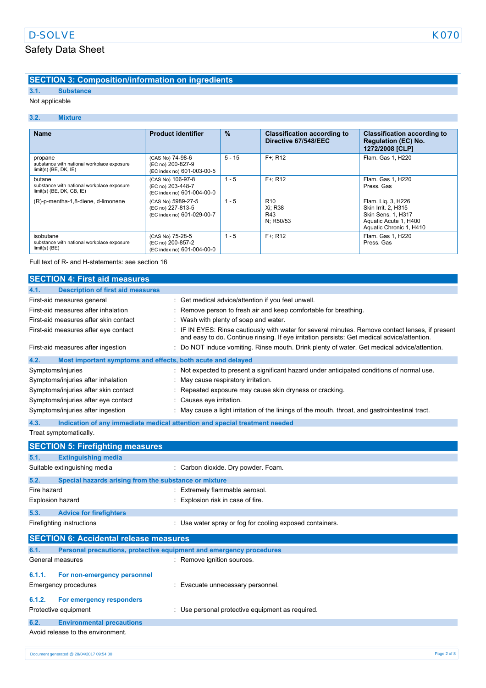## **SECTION 3: Composition/information on ingredients**

### **3.1. Substance**

#### Not applicable

#### **3.2. Mixture**

| <b>Name</b>                                                                         | <b>Product identifier</b>                                             | $\frac{9}{6}$ | <b>Classification according to</b><br>Directive 67/548/EEC | <b>Classification according to</b><br><b>Regulation (EC) No.</b><br>1272/2008 [CLP]                                 |
|-------------------------------------------------------------------------------------|-----------------------------------------------------------------------|---------------|------------------------------------------------------------|---------------------------------------------------------------------------------------------------------------------|
| propane<br>substance with national workplace exposure<br>$limit(s)$ (BE, DK, $IE$ ) | (CAS No) 74-98-6<br>(EC no) 200-827-9<br>(EC index no) 601-003-00-5   | $5 - 15$      | $F +: R12$                                                 | Flam. Gas 1, H220                                                                                                   |
| butane<br>substance with national workplace exposure<br>$limit(s)$ (BE, DK, GB, IE) | (CAS No) 106-97-8<br>(EC no) 203-448-7<br>(EC index no) 601-004-00-0  | $1 - 5$       | $F +: R12$                                                 | Flam, Gas 1, H220<br>Press, Gas                                                                                     |
| (R)-p-mentha-1,8-diene, d-limonene                                                  | (CAS No) 5989-27-5<br>(EC no) 227-813-5<br>(EC index no) 601-029-00-7 | $1 - 5$       | R <sub>10</sub><br>Xi: R38<br>R43<br>N: R50/53             | Flam. Liq. 3, H226<br>Skin Irrit. 2. H315<br>Skin Sens. 1, H317<br>Aquatic Acute 1, H400<br>Aquatic Chronic 1, H410 |
| isobutane<br>substance with national workplace exposure<br>$limit(s)$ (BE)          | (CAS No) 75-28-5<br>(EC no) 200-857-2<br>(EC index no) 601-004-00-0   | $1 - 5$       | $F +: R12$                                                 | Flam, Gas 1, H220<br>Press, Gas                                                                                     |

#### Full text of R- and H-statements: see section 16

| 4.1.<br><b>Description of first aid measures</b><br>: Get medical advice/attention if you feel unwell.<br>First-aid measures general<br>First-aid measures after inhalation<br>: Remove person to fresh air and keep comfortable for breathing.<br>First-aid measures after skin contact<br>: Wash with plenty of soap and water.<br>First-aid measures after eye contact<br>and easy to do. Continue rinsing. If eye irritation persists: Get medical advice/attention.<br>First-aid measures after ingestion<br>: Do NOT induce vomiting. Rinse mouth. Drink plenty of water. Get medical advice/attention.<br>Most important symptoms and effects, both acute and delayed<br>4.2.<br>: Not expected to present a significant hazard under anticipated conditions of normal use.<br>Symptoms/injuries<br>Symptoms/injuries after inhalation<br>: May cause respiratory irritation.<br>Symptoms/injuries after skin contact<br>: Repeated exposure may cause skin dryness or cracking.<br>Symptoms/injuries after eye contact<br>: Causes eye irritation.<br>Symptoms/injuries after ingestion<br>: May cause a light irritation of the linings of the mouth, throat, and gastrointestinal tract. | <b>SECTION 4: First aid measures</b> |                                                                                                  |
|----------------------------------------------------------------------------------------------------------------------------------------------------------------------------------------------------------------------------------------------------------------------------------------------------------------------------------------------------------------------------------------------------------------------------------------------------------------------------------------------------------------------------------------------------------------------------------------------------------------------------------------------------------------------------------------------------------------------------------------------------------------------------------------------------------------------------------------------------------------------------------------------------------------------------------------------------------------------------------------------------------------------------------------------------------------------------------------------------------------------------------------------------------------------------------------------------|--------------------------------------|--------------------------------------------------------------------------------------------------|
|                                                                                                                                                                                                                                                                                                                                                                                                                                                                                                                                                                                                                                                                                                                                                                                                                                                                                                                                                                                                                                                                                                                                                                                                    |                                      |                                                                                                  |
|                                                                                                                                                                                                                                                                                                                                                                                                                                                                                                                                                                                                                                                                                                                                                                                                                                                                                                                                                                                                                                                                                                                                                                                                    |                                      |                                                                                                  |
|                                                                                                                                                                                                                                                                                                                                                                                                                                                                                                                                                                                                                                                                                                                                                                                                                                                                                                                                                                                                                                                                                                                                                                                                    |                                      |                                                                                                  |
|                                                                                                                                                                                                                                                                                                                                                                                                                                                                                                                                                                                                                                                                                                                                                                                                                                                                                                                                                                                                                                                                                                                                                                                                    |                                      |                                                                                                  |
|                                                                                                                                                                                                                                                                                                                                                                                                                                                                                                                                                                                                                                                                                                                                                                                                                                                                                                                                                                                                                                                                                                                                                                                                    |                                      | : IF IN EYES: Rinse cautiously with water for several minutes. Remove contact lenses, if present |
|                                                                                                                                                                                                                                                                                                                                                                                                                                                                                                                                                                                                                                                                                                                                                                                                                                                                                                                                                                                                                                                                                                                                                                                                    |                                      |                                                                                                  |
|                                                                                                                                                                                                                                                                                                                                                                                                                                                                                                                                                                                                                                                                                                                                                                                                                                                                                                                                                                                                                                                                                                                                                                                                    |                                      |                                                                                                  |
|                                                                                                                                                                                                                                                                                                                                                                                                                                                                                                                                                                                                                                                                                                                                                                                                                                                                                                                                                                                                                                                                                                                                                                                                    |                                      |                                                                                                  |
|                                                                                                                                                                                                                                                                                                                                                                                                                                                                                                                                                                                                                                                                                                                                                                                                                                                                                                                                                                                                                                                                                                                                                                                                    |                                      |                                                                                                  |
|                                                                                                                                                                                                                                                                                                                                                                                                                                                                                                                                                                                                                                                                                                                                                                                                                                                                                                                                                                                                                                                                                                                                                                                                    |                                      |                                                                                                  |
|                                                                                                                                                                                                                                                                                                                                                                                                                                                                                                                                                                                                                                                                                                                                                                                                                                                                                                                                                                                                                                                                                                                                                                                                    |                                      |                                                                                                  |
|                                                                                                                                                                                                                                                                                                                                                                                                                                                                                                                                                                                                                                                                                                                                                                                                                                                                                                                                                                                                                                                                                                                                                                                                    |                                      |                                                                                                  |

**4.3. Indication of any immediate medical attention and special treatment needed**

Treat symptomatically.

|             | <b>SECTION 5: Firefighting measures</b>                             |                                                          |
|-------------|---------------------------------------------------------------------|----------------------------------------------------------|
| 5.1.        | <b>Extinguishing media</b>                                          |                                                          |
|             | Suitable extinguishing media                                        | : Carbon dioxide. Dry powder. Foam.                      |
| 5.2.        | Special hazards arising from the substance or mixture               |                                                          |
| Fire hazard |                                                                     | Extremely flammable aerosol.                             |
|             | Explosion hazard                                                    | Explosion risk in case of fire.                          |
| 5.3.        | <b>Advice for firefighters</b>                                      |                                                          |
|             | Firefighting instructions                                           | : Use water spray or fog for cooling exposed containers. |
|             | <b>SECTION 6: Accidental release measures</b>                       |                                                          |
|             |                                                                     |                                                          |
| 6.1.        | Personal precautions, protective equipment and emergency procedures |                                                          |
|             | General measures                                                    | : Remove ignition sources.                               |
| 6.1.1.      | For non-emergency personnel                                         |                                                          |
|             | Emergency procedures                                                | Evacuate unnecessary personnel.                          |
| 6.1.2.      | For emergency responders                                            |                                                          |
|             | Protective equipment                                                | : Use personal protective equipment as required.         |
| 6.2.        | <b>Environmental precautions</b>                                    |                                                          |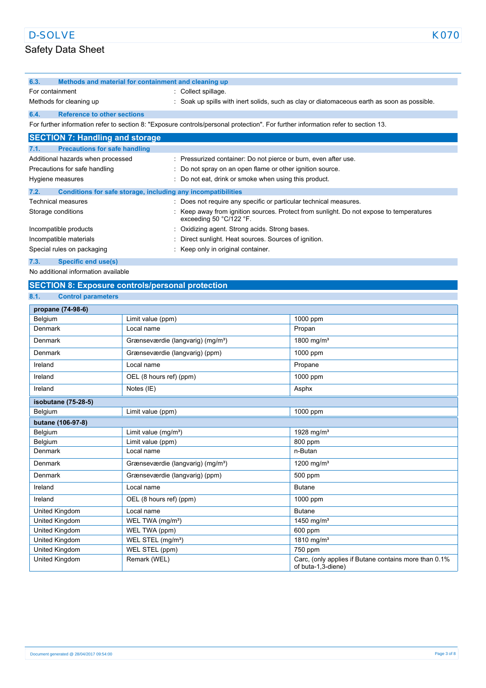| 6.3.               | Methods and material for containment and cleaning up         |                                                                                                                                      |
|--------------------|--------------------------------------------------------------|--------------------------------------------------------------------------------------------------------------------------------------|
| For containment    |                                                              | : Collect spillage.                                                                                                                  |
|                    | Methods for cleaning up                                      | : Soak up spills with inert solids, such as clay or diatomaceous earth as soon as possible.                                          |
| 6.4.               | <b>Reference to other sections</b>                           |                                                                                                                                      |
|                    |                                                              | For further information refer to section 8: "Exposure controls/personal protection". For further information refer to section 13.    |
|                    | <b>SECTION 7: Handling and storage</b>                       |                                                                                                                                      |
| 7.1.               | <b>Precautions for safe handling</b>                         |                                                                                                                                      |
|                    | Additional hazards when processed                            | : Pressurized container: Do not pierce or burn, even after use.                                                                      |
|                    | Precautions for safe handling                                | : Do not spray on an open flame or other ignition source.                                                                            |
| Hygiene measures   |                                                              | : Do not eat, drink or smoke when using this product.                                                                                |
| 7.2.               | Conditions for safe storage, including any incompatibilities |                                                                                                                                      |
|                    | <b>Technical measures</b>                                    | : Does not require any specific or particular technical measures.                                                                    |
| Storage conditions |                                                              | Keep away from ignition sources. Protect from sunlight. Do not expose to temperatures<br>exceeding 50 $^{\circ}$ C/122 $^{\circ}$ F. |
|                    | Incompatible products                                        | : Oxidizing agent. Strong acids. Strong bases.                                                                                       |
|                    | Incompatible materials                                       | : Direct sunlight. Heat sources. Sources of ignition.                                                                                |
|                    | Special rules on packaging                                   | : Keep only in original container.                                                                                                   |

#### **7.3. Specific end use(s)**

No additional information available

## **SECTION 8: Exposure controls/personal protection**

#### **8.1. Control parameters**

| propane (74-98-6)   |                                               |                                                                             |
|---------------------|-----------------------------------------------|-----------------------------------------------------------------------------|
| Belgium             | Limit value (ppm)                             | 1000 ppm                                                                    |
| Denmark             | Local name                                    | Propan                                                                      |
| Denmark             | Grænseværdie (langvarig) (mg/m <sup>3</sup> ) | 1800 mg/m <sup>3</sup>                                                      |
| Denmark             | Grænseværdie (langvarig) (ppm)                | 1000 ppm                                                                    |
| Ireland             | Local name                                    | Propane                                                                     |
| Ireland             | OEL (8 hours ref) (ppm)                       | 1000 ppm                                                                    |
| Ireland             | Notes (IE)                                    | Asphx                                                                       |
| isobutane (75-28-5) |                                               |                                                                             |
| Belgium             | Limit value (ppm)                             | 1000 ppm                                                                    |
| butane (106-97-8)   |                                               |                                                                             |
| Belgium             | Limit value $(mg/m3)$                         | 1928 mg/m <sup>3</sup>                                                      |
| Belgium             | Limit value (ppm)                             | 800 ppm                                                                     |
| Denmark             | Local name                                    | n-Butan                                                                     |
| Denmark             | Grænseværdie (langvarig) (mg/m <sup>3</sup> ) | 1200 mg/m <sup>3</sup>                                                      |
| Denmark             | Grænseværdie (langvarig) (ppm)                | 500 ppm                                                                     |
| Ireland             | Local name                                    | <b>Butane</b>                                                               |
| Ireland             | OEL (8 hours ref) (ppm)                       | 1000 ppm                                                                    |
| United Kingdom      | Local name                                    | <b>Butane</b>                                                               |
| United Kingdom      | WEL TWA (mg/m <sup>3</sup> )                  | 1450 mg/m <sup>3</sup>                                                      |
| United Kingdom      | WEL TWA (ppm)                                 | 600 ppm                                                                     |
| United Kingdom      | WEL STEL (mg/m <sup>3</sup> )                 | 1810 mg/m <sup>3</sup>                                                      |
| United Kingdom      | WEL STEL (ppm)                                | 750 ppm                                                                     |
| United Kingdom      | Remark (WEL)                                  | Carc, (only applies if Butane contains more than 0.1%<br>of buta-1,3-diene) |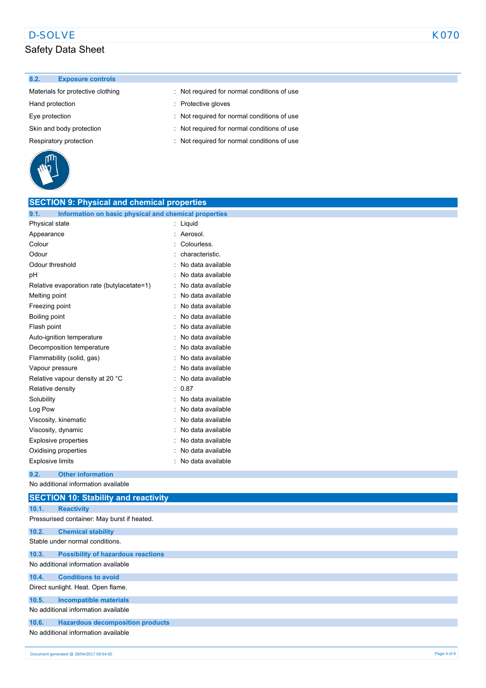#### **8.2. Exposure controls**

Materials for protective clothing : Not required for normal conditions of use

- Hand protection **in the set of the set of the set of the set of the set of the set of the set of the set of the set of the set of the set of the set of the set of the set of the set of the set of the set of the set of the**
- Eye protection **Exercise 1** 2012 : Not required for normal conditions of use
- Skin and body protection **interval in the CO** is Not required for normal conditions of use
- Respiratory protection **interval conditions** : Not required for normal conditions of use



| <b>SECTION 9: Physical and chemical properties</b>            |                   |
|---------------------------------------------------------------|-------------------|
| 9.1.<br>Information on basic physical and chemical properties |                   |
| Physical state                                                | Liquid            |
| Appearance                                                    | Aerosol.          |
| Colour                                                        | Colourless.       |
| Odour                                                         | characteristic.   |
| Odour threshold                                               | No data available |
| рH                                                            | No data available |
| Relative evaporation rate (butylacetate=1)                    | No data available |
| Melting point                                                 | No data available |
| Freezing point                                                | No data available |
| Boiling point                                                 | No data available |
| Flash point                                                   | No data available |
| Auto-ignition temperature                                     | No data available |
| Decomposition temperature                                     | No data available |
| Flammability (solid, gas)                                     | No data available |
| Vapour pressure                                               | No data available |
| Relative vapour density at 20 °C                              | No data available |
| Relative density                                              | 0.87              |
| Solubility                                                    | No data available |
| Log Pow                                                       | No data available |
| Viscosity, kinematic                                          | No data available |
| Viscosity, dynamic                                            | No data available |
| <b>Explosive properties</b>                                   | No data available |
| Oxidising properties                                          | No data available |
| <b>Explosive limits</b>                                       | No data available |
|                                                               |                   |

**9.2. Other information**

No additional information available

|       | <b>SECTION 10: Stability and reactivity</b> |
|-------|---------------------------------------------|
| 10.1. | <b>Reactivity</b>                           |
|       | Pressurised container: May burst if heated. |
| 10.2. | <b>Chemical stability</b>                   |
|       | Stable under normal conditions.             |
| 10.3. | <b>Possibility of hazardous reactions</b>   |
|       | No additional information available         |
| 10.4. | <b>Conditions to avoid</b>                  |
|       | Direct sunlight. Heat. Open flame.          |
| 10.5. | Incompatible materials                      |
|       | No additional information available         |
| 10.6. | <b>Hazardous decomposition products</b>     |
|       | No additional information available         |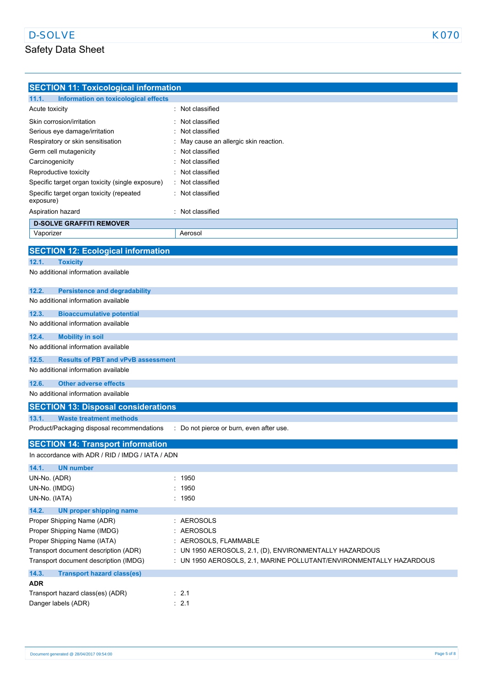| <b>SECTION 11: Toxicological information</b>       |                                                                     |
|----------------------------------------------------|---------------------------------------------------------------------|
| 11.1.<br>Information on toxicological effects      |                                                                     |
| Acute toxicity                                     | : Not classified                                                    |
| Skin corrosion/irritation                          | Not classified                                                      |
| Serious eye damage/irritation                      | Not classified                                                      |
| Respiratory or skin sensitisation                  | May cause an allergic skin reaction.                                |
| Germ cell mutagenicity                             | Not classified                                                      |
| Carcinogenicity                                    | Not classified                                                      |
| Reproductive toxicity                              | Not classified                                                      |
| Specific target organ toxicity (single exposure)   | Not classified                                                      |
| Specific target organ toxicity (repeated           | Not classified                                                      |
| exposure)                                          |                                                                     |
| Aspiration hazard                                  | Not classified                                                      |
| <b>D-SOLVE GRAFFITI REMOVER</b>                    |                                                                     |
| Vaporizer                                          | Aerosol                                                             |
| <b>SECTION 12: Ecological information</b>          |                                                                     |
|                                                    |                                                                     |
| 12.1.<br><b>Toxicity</b>                           |                                                                     |
| No additional information available                |                                                                     |
| 12.2.<br><b>Persistence and degradability</b>      |                                                                     |
| No additional information available                |                                                                     |
|                                                    |                                                                     |
| 12.3.<br><b>Bioaccumulative potential</b>          |                                                                     |
| No additional information available                |                                                                     |
| 12.4.<br><b>Mobility in soil</b>                   |                                                                     |
| No additional information available                |                                                                     |
| 12.5.<br><b>Results of PBT and vPvB assessment</b> |                                                                     |
| No additional information available                |                                                                     |
| <b>Other adverse effects</b><br>12.6.              |                                                                     |
| No additional information available                |                                                                     |
|                                                    |                                                                     |
| <b>SECTION 13: Disposal considerations</b>         |                                                                     |
| 13.1.<br><b>Waste treatment methods</b>            |                                                                     |
| Product/Packaging disposal recommendations<br>÷    | Do not pierce or burn, even after use.                              |
| <b>SECTION 14: Transport information</b>           |                                                                     |
| In accordance with ADR / RID / IMDG / IATA / ADN   |                                                                     |
|                                                    |                                                                     |
| 14.1.<br><b>UN number</b>                          |                                                                     |
| UN-No. (ADR)                                       | : 1950                                                              |
| UN-No. (IMDG)                                      | 1950                                                                |
| UN-No. (IATA)                                      | : 1950                                                              |
| 14.2.<br><b>UN proper shipping name</b>            |                                                                     |
| Proper Shipping Name (ADR)                         | : AEROSOLS                                                          |
| Proper Shipping Name (IMDG)                        | <b>AEROSOLS</b>                                                     |
| Proper Shipping Name (IATA)                        | : AEROSOLS, FLAMMABLE                                               |
| Transport document description (ADR)               | : UN 1950 AEROSOLS, 2.1, (D), ENVIRONMENTALLY HAZARDOUS             |
| Transport document description (IMDG)              | : UN 1950 AEROSOLS, 2.1, MARINE POLLUTANT/ENVIRONMENTALLY HAZARDOUS |
| 14.3.<br><b>Transport hazard class(es)</b>         |                                                                     |
| <b>ADR</b>                                         |                                                                     |
| Transport hazard class(es) (ADR)                   | $\therefore$ 2.1                                                    |
| Danger labels (ADR)                                | : 2.1                                                               |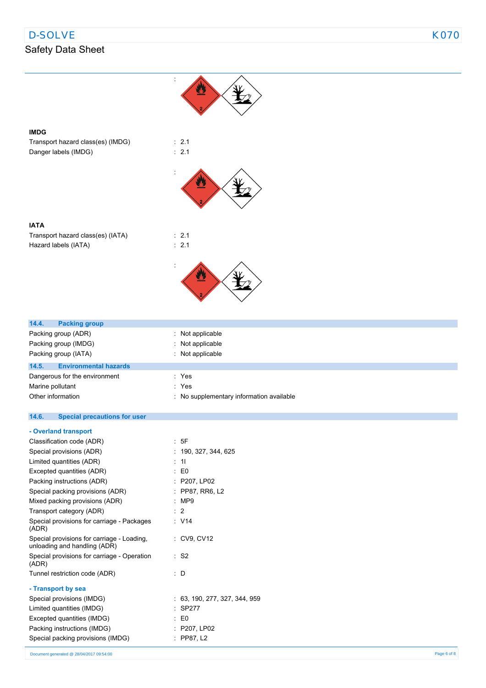## D-SOLVE And the set of the set of the set of the set of the set of the set of the set of the set of the set of the set of the set of the set of the set of the set of the set of the set of the set of the set of the set of t

## Safety Data Sheet

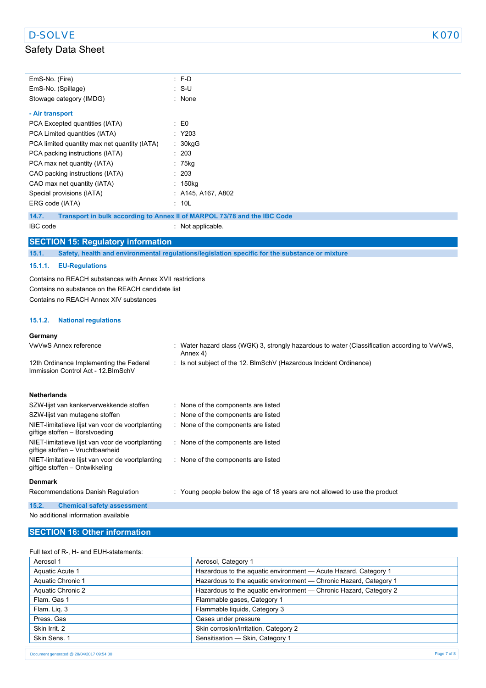| EmS-No. (Fire)                                                                       | : F-D                                                                                                     |
|--------------------------------------------------------------------------------------|-----------------------------------------------------------------------------------------------------------|
| EmS-No. (Spillage)                                                                   | : S-U                                                                                                     |
| Stowage category (IMDG)                                                              | : None                                                                                                    |
| - Air transport                                                                      |                                                                                                           |
| PCA Excepted quantities (IATA)                                                       | $\mathbf{E}$ = $\mathbf{E}$                                                                               |
| PCA Limited quantities (IATA)                                                        | : Y203                                                                                                    |
| PCA limited quantity max net quantity (IATA)                                         | : 30kgG                                                                                                   |
| PCA packing instructions (IATA)                                                      | : 203                                                                                                     |
| PCA max net quantity (IATA)                                                          | $: 75$ kg                                                                                                 |
| CAO packing instructions (IATA)                                                      | : 203                                                                                                     |
| CAO max net quantity (IATA)                                                          | $: 150$ kg                                                                                                |
| Special provisions (IATA)                                                            | $:$ A145, A167, A802                                                                                      |
| ERG code (IATA)                                                                      | : 10L                                                                                                     |
| 14.7.                                                                                | Transport in bulk according to Annex II of MARPOL 73/78 and the IBC Code                                  |
| IBC code                                                                             | : Not applicable.                                                                                         |
|                                                                                      |                                                                                                           |
| <b>SECTION 15: Regulatory information</b>                                            |                                                                                                           |
| 15.1.                                                                                | Safety, health and environmental regulations/legislation specific for the substance or mixture            |
| 15.1.1.<br><b>EU-Regulations</b>                                                     |                                                                                                           |
| Contains no REACH substances with Annex XVII restrictions                            |                                                                                                           |
| Contains no substance on the REACH candidate list                                    |                                                                                                           |
| Contains no REACH Annex XIV substances                                               |                                                                                                           |
|                                                                                      |                                                                                                           |
| 15.1.2.<br><b>National regulations</b>                                               |                                                                                                           |
|                                                                                      |                                                                                                           |
| Germany                                                                              |                                                                                                           |
| VwVwS Annex reference                                                                | : Water hazard class (WGK) 3, strongly hazardous to water (Classification according to VwVwS,<br>Annex 4) |
| 12th Ordinance Implementing the Federal                                              | : Is not subject of the 12. BlmSchV (Hazardous Incident Ordinance)                                        |
| Immission Control Act - 12. BlmSchV                                                  |                                                                                                           |
|                                                                                      |                                                                                                           |
| <b>Netherlands</b>                                                                   |                                                                                                           |
| SZW-lijst van kankerverwekkende stoffen                                              | : None of the components are listed                                                                       |
| SZW-lijst van mutagene stoffen                                                       | None of the components are listed                                                                         |
| NIET-limitatieve lijst van voor de voortplanting                                     | : None of the components are listed                                                                       |
| giftige stoffen - Borstvoeding                                                       |                                                                                                           |
| NIET-limitatieve lijst van voor de voortplanting<br>giftige stoffen - Vruchtbaarheid | : None of the components are listed                                                                       |
| NIET-limitatieve lijst van voor de voortplanting<br>giftige stoffen - Ontwikkeling   | : None of the components are listed                                                                       |
|                                                                                      |                                                                                                           |
| <b>Denmark</b>                                                                       |                                                                                                           |
| Recommendations Danish Regulation                                                    | : Young people below the age of 18 years are not allowed to use the product                               |
| 15.2.<br><b>Chemical safety assessment</b>                                           |                                                                                                           |

# No additional information available

## **SECTION 16: Other information**

#### Full text of R-, H- and EUH-statements:

| Aerosol 1         | Aerosol, Category 1                                               |
|-------------------|-------------------------------------------------------------------|
| Aquatic Acute 1   | Hazardous to the aquatic environment - Acute Hazard, Category 1   |
| Aquatic Chronic 1 | Hazardous to the aquatic environment - Chronic Hazard, Category 1 |
| Aquatic Chronic 2 | Hazardous to the aquatic environment - Chronic Hazard, Category 2 |
| Flam, Gas 1       | Flammable gases, Category 1                                       |
| Flam. Lig. 3      | Flammable liquids, Category 3                                     |
| Press, Gas        | Gases under pressure                                              |
| Skin Irrit. 2     | Skin corrosion/irritation, Category 2                             |
| Skin Sens. 1      | Sensitisation - Skin, Category 1                                  |